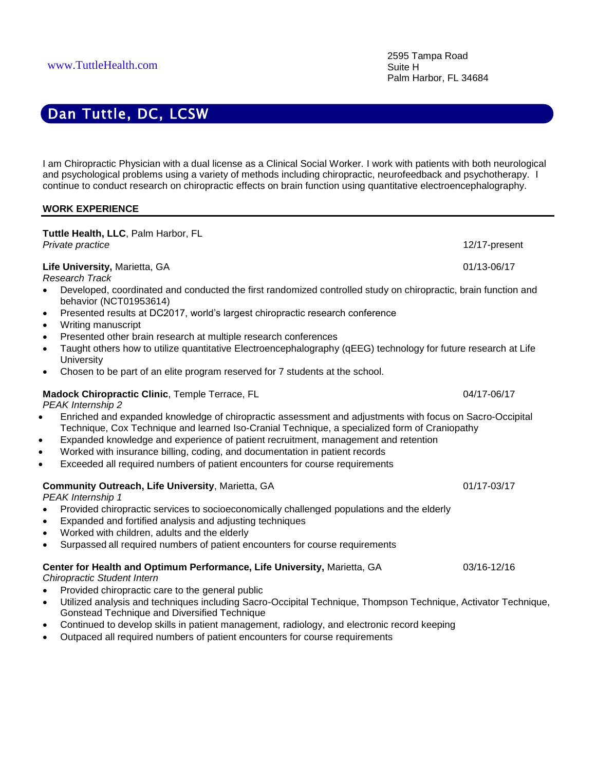I am Chiropractic Physician with a dual license as a Clinical Social Worker. I work with patients with both neurological and psychological problems using a variety of methods including chiropractic, neurofeedback and psychotherapy. I continue to conduct research on chiropractic effects on brain function using quantitative electroencephalography.

#### **WORK EXPERIENCE**

**Tuttle Health, LLC**, Palm Harbor, FL *Private practice* 12/17-present **Life University,** Marietta, GA 01/13-06/17 *Research Track* • Developed, coordinated and conducted the first randomized controlled study on chiropractic, brain function and behavior (NCT01953614) • Presented results at DC2017, world's largest chiropractic research conference • Writing manuscript • Presented other brain research at multiple research conferences • Taught others how to utilize quantitative Electroencephalography (qEEG) technology for future research at Life **University** • Chosen to be part of an elite program reserved for 7 students at the school. **Madock Chiropractic Clinic**, Temple Terrace, FL 04/17-06/17 *PEAK Internship 2* • Enriched and expanded knowledge of chiropractic assessment and adjustments with focus on Sacro-Occipital Technique, Cox Technique and learned Iso-Cranial Technique, a specialized form of Craniopathy • Expanded knowledge and experience of patient recruitment, management and retention • Worked with insurance billing, coding, and documentation in patient records • Exceeded all required numbers of patient encounters for course requirements **Community Outreach, Life University**, Marietta, GA 01/17-03/17 *PEAK Internship 1* • Provided chiropractic services to socioeconomically challenged populations and the elderly • Expanded and fortified analysis and adjusting techniques • Worked with children, adults and the elderly • Surpassed all required numbers of patient encounters for course requirements **Center for Health and Optimum Performance, Life University,** Marietta, GA 03/16-12/16 *Chiropractic Student Intern* • Provided chiropractic care to the general public • Utilized analysis and techniques including Sacro-Occipital Technique, Thompson Technique, Activator Technique,

- Continued to develop skills in patient management, radiology, and electronic record keeping
- Outpaced all required numbers of patient encounters for course requirements

Gonstead Technique and Diversified Technique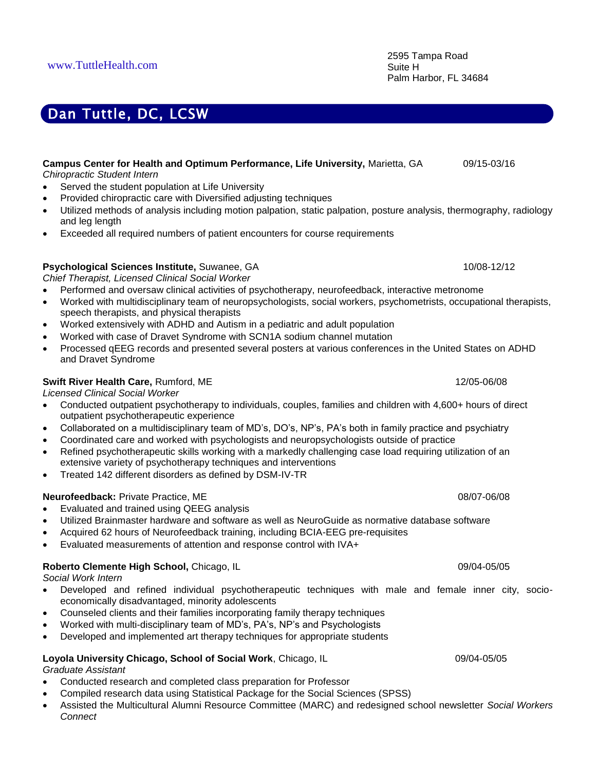| Campus Center for Health and Optimum Performance, Life University, Marietta, GA<br>Chiropractic Student Intern<br>Served the student population at Life University<br>Provided chiropractic care with Diversified adjusting techniques<br>$\bullet$<br>Utilized methods of analysis including motion palpation, static palpation, posture analysis, thermography, radiology<br>$\bullet$<br>and leg length<br>Exceeded all required numbers of patient encounters for course requirements<br>$\bullet$                                                                                                                                                                                                                                 | 09/15-03/16 |
|----------------------------------------------------------------------------------------------------------------------------------------------------------------------------------------------------------------------------------------------------------------------------------------------------------------------------------------------------------------------------------------------------------------------------------------------------------------------------------------------------------------------------------------------------------------------------------------------------------------------------------------------------------------------------------------------------------------------------------------|-------------|
| Psychological Sciences Institute, Suwanee, GA<br>Chief Therapist, Licensed Clinical Social Worker<br>Performed and oversaw clinical activities of psychotherapy, neurofeedback, interactive metronome<br>$\bullet$<br>Worked with multidisciplinary team of neuropsychologists, social workers, psychometrists, occupational therapists,<br>$\bullet$<br>speech therapists, and physical therapists<br>Worked extensively with ADHD and Autism in a pediatric and adult population<br>$\bullet$<br>Worked with case of Dravet Syndrome with SCN1A sodium channel mutation<br>$\bullet$<br>Processed qEEG records and presented several posters at various conferences in the United States on ADHD<br>$\bullet$<br>and Dravet Syndrome | 10/08-12/12 |
| Swift River Health Care, Rumford, ME                                                                                                                                                                                                                                                                                                                                                                                                                                                                                                                                                                                                                                                                                                   | 12/05-06/08 |

*Licensed Clinical Social Worker*

- Conducted outpatient psychotherapy to individuals, couples, families and children with 4,600+ hours of direct outpatient psychotherapeutic experience
- Collaborated on a multidisciplinary team of MD's, DO's, NP's, PA's both in family practice and psychiatry
- Coordinated care and worked with psychologists and neuropsychologists outside of practice
- Refined psychotherapeutic skills working with a markedly challenging case load requiring utilization of an extensive variety of psychotherapy techniques and interventions
- Treated 142 different disorders as defined by DSM-IV-TR

# **Neurofeedback:** Private Practice, ME 08/07-06/08

- Evaluated and trained using QEEG analysis
- Utilized Brainmaster hardware and software as well as NeuroGuide as normative database software
- Acquired 62 hours of Neurofeedback training, including BCIA-EEG pre-requisites
- Evaluated measurements of attention and response control with IVA+

## **Roberto Clemente High School, Chicago, IL 09/04-05/05 09/04-05/05 09/04-05/05**

*Social Work Intern*

- Developed and refined individual psychotherapeutic techniques with male and female inner city, socioeconomically disadvantaged, minority adolescents
- Counseled clients and their families incorporating family therapy techniques
- Worked with multi-disciplinary team of MD's, PA's, NP's and Psychologists
- Developed and implemented art therapy techniques for appropriate students
- **Loyola University Chicago, School of Social Work**, Chicago, IL09/04-05/05

*Graduate Assistant*

- Conducted research and completed class preparation for Professor
- Compiled research data using Statistical Package for the Social Sciences (SPSS)
- Assisted the Multicultural Alumni Resource Committee (MARC) and redesigned school newsletter *Social Workers Connect*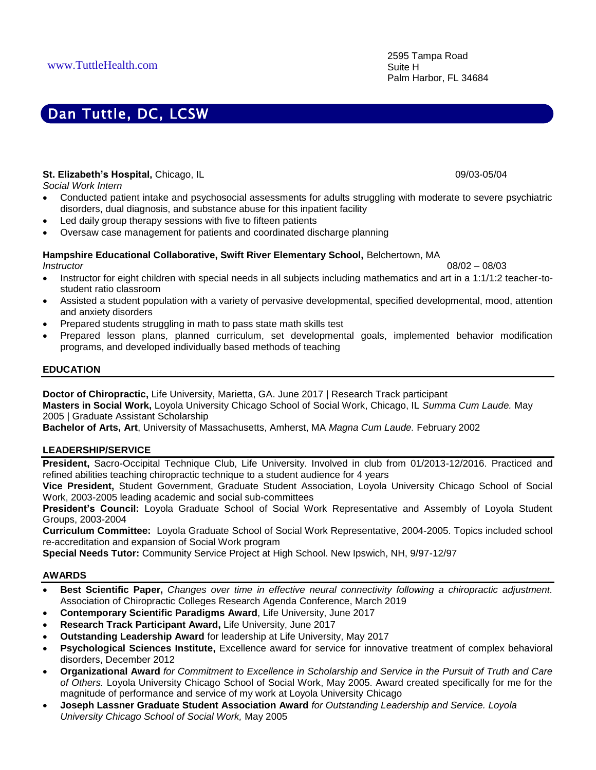### **St. Elizabeth's Hospital, Chicago, IL 09/03-05/04** 09/03-05/04

*Social Work Intern*

- Conducted patient intake and psychosocial assessments for adults struggling with moderate to severe psychiatric disorders, dual diagnosis, and substance abuse for this inpatient facility
- Led daily group therapy sessions with five to fifteen patients
- Oversaw case management for patients and coordinated discharge planning

### **Hampshire Educational Collaborative, Swift River Elementary School,** Belchertown, MA

*Instructor*08/02 – 08/03

- Instructor for eight children with special needs in all subjects including mathematics and art in a 1:1/1:2 teacher-tostudent ratio classroom
- Assisted a student population with a variety of pervasive developmental, specified developmental, mood, attention and anxiety disorders
- Prepared students struggling in math to pass state math skills test
- Prepared lesson plans, planned curriculum, set developmental goals, implemented behavior modification programs, and developed individually based methods of teaching

### **EDUCATION**

**Doctor of Chiropractic,** Life University, Marietta, GA. June 2017 | Research Track participant **Masters in Social Work,** Loyola University Chicago School of Social Work, Chicago, IL *Summa Cum Laude.* May 2005 | Graduate Assistant Scholarship

**Bachelor of Arts, Art**, University of Massachusetts, Amherst, MA *Magna Cum Laude.* February 2002

#### **LEADERSHIP/SERVICE**

**President,** Sacro-Occipital Technique Club, Life University. Involved in club from 01/2013-12/2016. Practiced and refined abilities teaching chiropractic technique to a student audience for 4 years

**Vice President,** Student Government, Graduate Student Association, Loyola University Chicago School of Social Work, 2003-2005 leading academic and social sub-committees

**President's Council:** Loyola Graduate School of Social Work Representative and Assembly of Loyola Student Groups, 2003-2004

**Curriculum Committee:** Loyola Graduate School of Social Work Representative, 2004-2005. Topics included school re-accreditation and expansion of Social Work program

**Special Needs Tutor:** Community Service Project at High School. New Ipswich, NH, 9/97-12/97

#### **AWARDS**

- **Best Scientific Paper,** *Changes over time in effective neural connectivity following a chiropractic adjustment.* Association of Chiropractic Colleges Research Agenda Conference, March 2019
- **Contemporary Scientific Paradigms Award**, Life University, June 2017
- **Research Track Participant Award,** Life University, June 2017
- **Outstanding Leadership Award** for leadership at Life University, May 2017
- **Psychological Sciences Institute,** Excellence award for service for innovative treatment of complex behavioral disorders, December 2012
- **Organizational Award** *for Commitment to Excellence in Scholarship and Service in the Pursuit of Truth and Care of Others.* Loyola University Chicago School of Social Work, May 2005. Award created specifically for me for the magnitude of performance and service of my work at Loyola University Chicago
- **Joseph Lassner Graduate Student Association Award** *for Outstanding Leadership and Service. Loyola University Chicago School of Social Work,* May 2005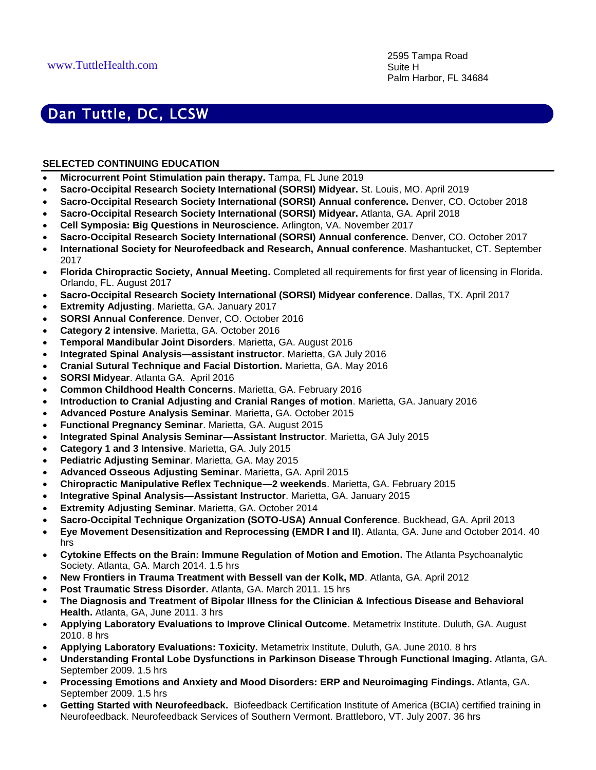## **SELECTED CONTINUING EDUCATION**

- **Microcurrent Point Stimulation pain therapy.** Tampa, FL June 2019
- **Sacro-Occipital Research Society International (SORSI) Midyear.** St. Louis, MO. April 2019
- **Sacro-Occipital Research Society International (SORSI) Annual conference.** Denver, CO. October 2018
- **Sacro-Occipital Research Society International (SORSI) Midyear.** Atlanta, GA. April 2018
- **Cell Symposia: Big Questions in Neuroscience.** Arlington, VA. November 2017
- **Sacro-Occipital Research Society International (SORSI) Annual conference.** Denver, CO. October 2017
- **International Society for Neurofeedback and Research, Annual conference**. Mashantucket, CT. September 2017
- **Florida Chiropractic Society, Annual Meeting.** Completed all requirements for first year of licensing in Florida. Orlando, FL. August 2017
- **Sacro-Occipital Research Society International (SORSI) Midyear conference**. Dallas, TX. April 2017
- **Extremity Adjusting**. Marietta, GA. January 2017
- **SORSI Annual Conference**. Denver, CO. October 2016
- **Category 2 intensive**. Marietta, GA. October 2016
- **Temporal Mandibular Joint Disorders**. Marietta, GA. August 2016
- **Integrated Spinal Analysis—assistant instructor**. Marietta, GA July 2016
- **Cranial Sutural Technique and Facial Distortion.** Marietta, GA. May 2016
- **SORSI Midyear**. Atlanta GA. April 2016
- **Common Childhood Health Concerns**. Marietta, GA. February 2016
- **Introduction to Cranial Adjusting and Cranial Ranges of motion**. Marietta, GA. January 2016
- **Advanced Posture Analysis Seminar**. Marietta, GA. October 2015
- **Functional Pregnancy Seminar**. Marietta, GA. August 2015
- **Integrated Spinal Analysis Seminar—Assistant Instructor**. Marietta, GA July 2015
- **Category 1 and 3 Intensive**. Marietta, GA. July 2015
- **Pediatric Adjusting Seminar**. Marietta, GA. May 2015
- **Advanced Osseous Adjusting Seminar**. Marietta, GA. April 2015
- **Chiropractic Manipulative Reflex Technique—2 weekends**. Marietta, GA. February 2015
- **Integrative Spinal Analysis—Assistant Instructor**. Marietta, GA. January 2015
- **Extremity Adjusting Seminar**. Marietta, GA. October 2014
- **Sacro-Occipital Technique Organization (SOTO-USA) Annual Conference**. Buckhead, GA. April 2013
- **Eye Movement Desensitization and Reprocessing (EMDR I and II)**. Atlanta, GA. June and October 2014. 40 hrs
- **Cytokine Effects on the Brain: Immune Regulation of Motion and Emotion.** The Atlanta Psychoanalytic Society. Atlanta, GA. March 2014. 1.5 hrs
- **New Frontiers in Trauma Treatment with Bessell van der Kolk, MD**. Atlanta, GA. April 2012
- **Post Traumatic Stress Disorder.** Atlanta, GA. March 2011. 15 hrs
- **The Diagnosis and Treatment of Bipolar Illness for the Clinician & Infectious Disease and Behavioral Health.** Atlanta, GA, June 2011. 3 hrs
- **Applying Laboratory Evaluations to Improve Clinical Outcome**. Metametrix Institute. Duluth, GA. August 2010. 8 hrs
- **Applying Laboratory Evaluations: Toxicity.** Metametrix Institute, Duluth, GA. June 2010. 8 hrs
- **Understanding Frontal Lobe Dysfunctions in Parkinson Disease Through Functional Imaging.** Atlanta, GA. September 2009. 1.5 hrs
- **Processing Emotions and Anxiety and Mood Disorders: ERP and Neuroimaging Findings.** Atlanta, GA. September 2009. 1.5 hrs
- **Getting Started with Neurofeedback.** Biofeedback Certification Institute of America (BCIA) certified training in Neurofeedback. Neurofeedback Services of Southern Vermont. Brattleboro, VT. July 2007. 36 hrs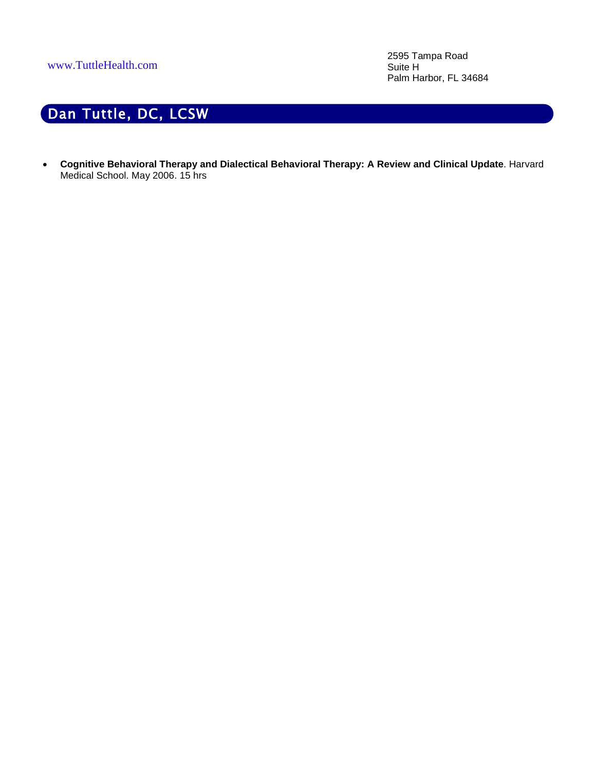2595 Tampa Road Suite H Palm Harbor, FL 34684

# Dan Tuttle, DC, LCSW

• **Cognitive Behavioral Therapy and Dialectical Behavioral Therapy: A Review and Clinical Update**. Harvard Medical School. May 2006. 15 hrs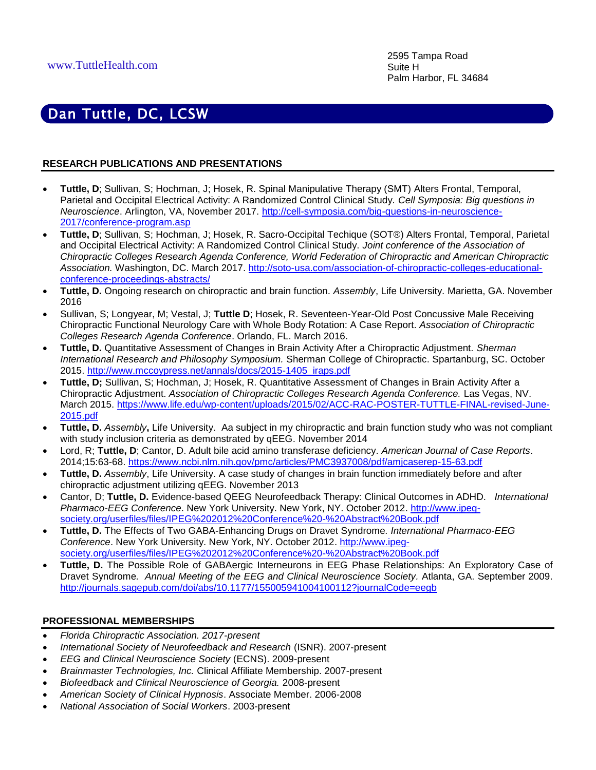### **RESEARCH PUBLICATIONS AND PRESENTATIONS**

- **Tuttle, D**; Sullivan, S; Hochman, J; Hosek, R. Spinal Manipulative Therapy (SMT) Alters Frontal, Temporal, Parietal and Occipital Electrical Activity: A Randomized Control Clinical Study. *Cell Symposia: Big questions in Neuroscience*. Arlington, VA, November 2017. [http://cell-symposia.com/big-questions-in-neuroscience-](http://cell-symposia.com/big-questions-in-neuroscience-2017/conference-program.asp)[2017/conference-program.asp](http://cell-symposia.com/big-questions-in-neuroscience-2017/conference-program.asp)
- **Tuttle, D**; Sullivan, S; Hochman, J; Hosek, R. Sacro-Occipital Techique (SOT®) Alters Frontal, Temporal, Parietal and Occipital Electrical Activity: A Randomized Control Clinical Study. *Joint conference of the Association of Chiropractic Colleges Research Agenda Conference, World Federation of Chiropractic and American Chiropractic Association.* Washington, DC. March 2017. [http://soto-usa.com/association-of-chiropractic-colleges-educational](http://soto-usa.com/association-of-chiropractic-colleges-educational-conference-proceedings-abstracts/)[conference-proceedings-abstracts/](http://soto-usa.com/association-of-chiropractic-colleges-educational-conference-proceedings-abstracts/)
- **Tuttle, D.** Ongoing research on chiropractic and brain function. *Assembly*, Life University. Marietta, GA. November 2016
- Sullivan, S; Longyear, M; Vestal, J; **Tuttle D**; Hosek, R. Seventeen-Year-Old Post Concussive Male Receiving Chiropractic Functional Neurology Care with Whole Body Rotation: A Case Report. *Association of Chiropractic Colleges Research Agenda Conference*. Orlando, FL. March 2016.
- **Tuttle, D.** Quantitative Assessment of Changes in Brain Activity After a Chiropractic Adjustment. *Sherman International Research and Philosophy Symposium.* Sherman College of Chiropractic. Spartanburg, SC. October 2015. [http://www.mccoypress.net/annals/docs/2015-1405\\_iraps.pdf](http://www.mccoypress.net/annals/docs/2015-1405_iraps.pdf)
- **Tuttle, D;** Sullivan, S; Hochman, J; Hosek, R. Quantitative Assessment of Changes in Brain Activity After a Chiropractic Adjustment. *Association of Chiropractic Colleges Research Agenda Conference.* Las Vegas, NV. March 2015. [https://www.life.edu/wp-content/uploads/2015/02/ACC-RAC-POSTER-TUTTLE-FINAL-revised-June-](https://www.life.edu/wp-content/uploads/2015/02/ACC-RAC-POSTER-TUTTLE-FINAL-revised-June-2015.pdf)[2015.pdf](https://www.life.edu/wp-content/uploads/2015/02/ACC-RAC-POSTER-TUTTLE-FINAL-revised-June-2015.pdf)
- **Tuttle, D.** *Assembly***,** Life University. Aa subject in my chiropractic and brain function study who was not compliant with study inclusion criteria as demonstrated by qEEG. November 2014
- Lord, R; **Tuttle, D**; Cantor, D. Adult bile acid amino transferase deficiency. *American Journal of Case Reports*. 2014;15:63-68. <https://www.ncbi.nlm.nih.gov/pmc/articles/PMC3937008/pdf/amjcaserep-15-63.pdf>
- **Tuttle, D.** *Assembly*, Life University. A case study of changes in brain function immediately before and after chiropractic adjustment utilizing qEEG. November 2013
- Cantor, D; **Tuttle, D.** [Evidence-based QEEG Neurofeedback Therapy: Clinical Outcomes in ADHD](http://www.ipeg-society.org/userfiles/files/IPEG%202012%20Conference%20-%20Abstract%20Book.pdf)*. International Pharmaco-EEG Conference*. New York University. New York, NY. October 2012. [http://www.ipeg](http://www.ipeg-society.org/userfiles/files/IPEG%202012%20Conference%20-%20Abstract%20Book.pdf)[society.org/userfiles/files/IPEG%202012%20Conference%20-%20Abstract%20Book.pdf](http://www.ipeg-society.org/userfiles/files/IPEG%202012%20Conference%20-%20Abstract%20Book.pdf)
- **Tuttle, D.** [The Effects of Two GABA-Enhancing Drugs on Dravet Syndrome](http://www.ipeg-society.org/userfiles/files/IPEG%202012%20Conference%20-%20Abstract%20Book.pdf)*. International Pharmaco-EEG Conference*. New York University. New York, NY. October 2012. [http://www.ipeg](http://www.ipeg-society.org/userfiles/files/IPEG%202012%20Conference%20-%20Abstract%20Book.pdf)[society.org/userfiles/files/IPEG%202012%20Conference%20-%20Abstract%20Book.pdf](http://www.ipeg-society.org/userfiles/files/IPEG%202012%20Conference%20-%20Abstract%20Book.pdf)
- **Tuttle, D.** The Possible Role of GABAergic Interneurons in EEG Phase Relationships: An Exploratory Case of Dravet Syndrome*. Annual Meeting of the EEG and Clinical Neuroscience Society.* Atlanta, GA. September 2009. <http://journals.sagepub.com/doi/abs/10.1177/155005941004100112?journalCode=eegb>

### **PROFESSIONAL MEMBERSHIPS**

- *Florida Chiropractic Association. 2017-present*
- *International Society of Neurofeedback and Research* (ISNR). 2007-present
- *EEG and Clinical Neuroscience Society* (ECNS). 2009-present
- *Brainmaster Technologies, Inc.* Clinical Affiliate Membership. 2007-present
- *Biofeedback and Clinical Neuroscience of Georgia.* 2008-present
- *American Society of Clinical Hypnosis*. Associate Member. 2006-2008
- *National Association of Social Workers*. 2003-present